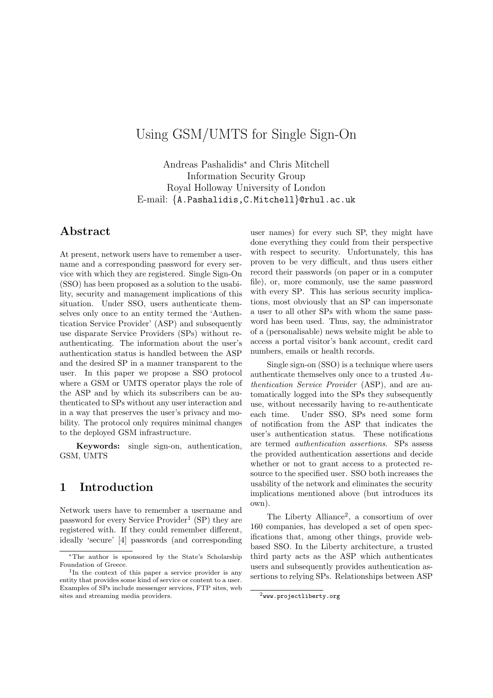# Using GSM/UMTS for Single Sign-On

Andreas Pashalidis<sup>∗</sup> and Chris Mitchell Information Security Group Royal Holloway University of London E-mail: {A.Pashalidis,C.Mitchell}@rhul.ac.uk

# Abstract

At present, network users have to remember a username and a corresponding password for every service with which they are registered. Single Sign-On (SSO) has been proposed as a solution to the usability, security and management implications of this situation. Under SSO, users authenticate themselves only once to an entity termed the 'Authentication Service Provider' (ASP) and subsequently use disparate Service Providers (SPs) without reauthenticating. The information about the user's authentication status is handled between the ASP and the desired SP in a manner transparent to the user. In this paper we propose a SSO protocol where a GSM or UMTS operator plays the role of the ASP and by which its subscribers can be authenticated to SPs without any user interaction and in a way that preserves the user's privacy and mobility. The protocol only requires minimal changes to the deployed GSM infrastructure.

Keywords: single sign-on, authentication, GSM, UMTS

## 1 Introduction

Network users have to remember a username and password for every Service Provider<sup>1</sup> (SP) they are registered with. If they could remember different, ideally 'secure' [4] passwords (and corresponding

user names) for every such SP, they might have done everything they could from their perspective with respect to security. Unfortunately, this has proven to be very difficult, and thus users either record their passwords (on paper or in a computer file), or, more commonly, use the same password with every SP. This has serious security implications, most obviously that an SP can impersonate a user to all other SPs with whom the same password has been used. Thus, say, the administrator of a (personalisable) news website might be able to access a portal visitor's bank account, credit card numbers, emails or health records.

Single sign-on (SSO) is a technique where users authenticate themselves only once to a trusted Authentication Service Provider (ASP), and are automatically logged into the SPs they subsequently use, without necessarily having to re-authenticate each time. Under SSO, SPs need some form of notification from the ASP that indicates the user's authentication status. These notifications are termed authentication assertions. SPs assess the provided authentication assertions and decide whether or not to grant access to a protected resource to the specified user. SSO both increases the usability of the network and eliminates the security implications mentioned above (but introduces its own).

The Liberty Alliance<sup>2</sup>, a consortium of over 160 companies, has developed a set of open specifications that, among other things, provide webbased SSO. In the Liberty architecture, a trusted third party acts as the ASP which authenticates users and subsequently provides authentication assertions to relying SPs. Relationships between ASP

<sup>∗</sup>The author is sponsored by the State's Scholarship Foundation of Greece.

<sup>1</sup> In the context of this paper a service provider is any entity that provides some kind of service or content to a user. Examples of SPs include messenger services, FTP sites, web sites and streaming media providers.

 $^{2}$ www.projectliberty.org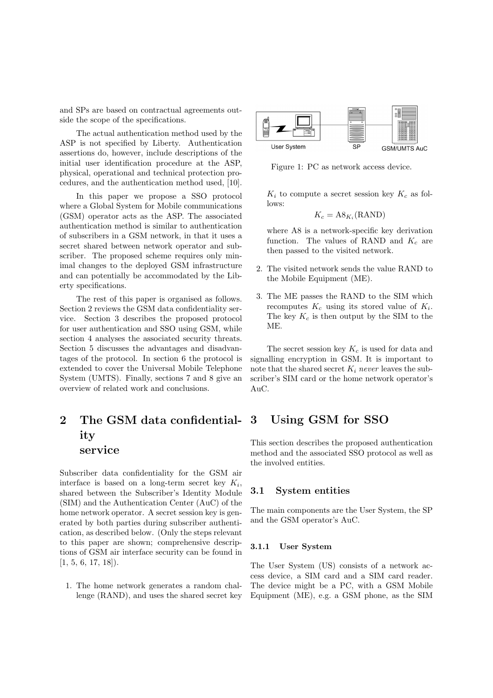and SPs are based on contractual agreements outside the scope of the specifications.

The actual authentication method used by the ASP is not specified by Liberty. Authentication assertions do, however, include descriptions of the initial user identification procedure at the ASP, physical, operational and technical protection procedures, and the authentication method used, [10].

In this paper we propose a SSO protocol where a Global System for Mobile communications (GSM) operator acts as the ASP. The associated authentication method is similar to authentication of subscribers in a GSM network, in that it uses a secret shared between network operator and subscriber. The proposed scheme requires only minimal changes to the deployed GSM infrastructure and can potentially be accommodated by the Liberty specifications.

The rest of this paper is organised as follows. Section 2 reviews the GSM data confidentiality service. Section 3 describes the proposed protocol for user authentication and SSO using GSM, while section 4 analyses the associated security threats. Section 5 discusses the advantages and disadvantages of the protocol. In section 6 the protocol is extended to cover the Universal Mobile Telephone System (UMTS). Finally, sections 7 and 8 give an overview of related work and conclusions.

# 2 The GSM data confidentiality service

Subscriber data confidentiality for the GSM air interface is based on a long-term secret key  $K_i$ , shared between the Subscriber's Identity Module (SIM) and the Authentication Center (AuC) of the home network operator. A secret session key is generated by both parties during subscriber authentication, as described below. (Only the steps relevant to this paper are shown; comprehensive descriptions of GSM air interface security can be found in  $[1, 5, 6, 17, 18]$ .

1. The home network generates a random challenge (RAND), and uses the shared secret key



Figure 1: PC as network access device.

 $K_i$  to compute a secret session key  $K_c$  as follows:

$$
K_c = \mathbf{A8}_{K_i}(\text{RAND})
$$

where A8 is a network-specific key derivation function. The values of RAND and  $K_c$  are then passed to the visited network.

- 2. The visited network sends the value RAND to the Mobile Equipment (ME).
- 3. The ME passes the RAND to the SIM which recomputes  $K_c$  using its stored value of  $K_i$ . The key  $K_c$  is then output by the SIM to the ME.

The secret session key  $K_c$  is used for data and signalling encryption in GSM. It is important to note that the shared secret  $K_i$  never leaves the subscriber's SIM card or the home network operator's AuC.

## 3 Using GSM for SSO

This section describes the proposed authentication method and the associated SSO protocol as well as the involved entities.

#### 3.1 System entities

The main components are the User System, the SP and the GSM operator's AuC.

#### 3.1.1 User System

The User System (US) consists of a network access device, a SIM card and a SIM card reader. The device might be a PC, with a GSM Mobile Equipment (ME), e.g. a GSM phone, as the SIM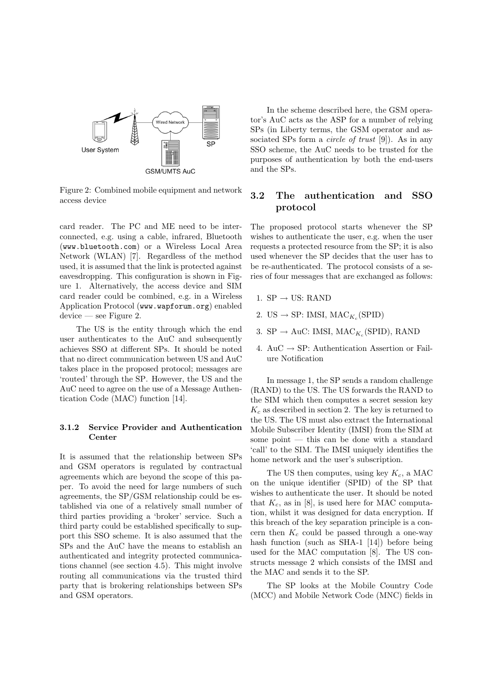

Figure 2: Combined mobile equipment and network access device

card reader. The PC and ME need to be interconnected, e.g. using a cable, infrared, Bluetooth (www.bluetooth.com) or a Wireless Local Area Network (WLAN) [7]. Regardless of the method used, it is assumed that the link is protected against eavesdropping. This configuration is shown in Figure 1. Alternatively, the access device and SIM card reader could be combined, e.g. in a Wireless Application Protocol (www.wapforum.org) enabled device — see Figure 2.

The US is the entity through which the end user authenticates to the AuC and subsequently achieves SSO at different SPs. It should be noted that no direct communication between US and AuC takes place in the proposed protocol; messages are 'routed' through the SP. However, the US and the AuC need to agree on the use of a Message Authentication Code (MAC) function [14].

#### 3.1.2 Service Provider and Authentication Center

It is assumed that the relationship between SPs and GSM operators is regulated by contractual agreements which are beyond the scope of this paper. To avoid the need for large numbers of such agreements, the SP/GSM relationship could be established via one of a relatively small number of third parties providing a 'broker' service. Such a third party could be established specifically to support this SSO scheme. It is also assumed that the SPs and the AuC have the means to establish an authenticated and integrity protected communications channel (see section 4.5). This might involve routing all communications via the trusted third party that is brokering relationships between SPs and GSM operators.

In the scheme described here, the GSM operator's AuC acts as the ASP for a number of relying SPs (in Liberty terms, the GSM operator and associated SPs form a *circle of trust* [9]). As in any SSO scheme, the AuC needs to be trusted for the purposes of authentication by both the end-users and the SPs.

### 3.2 The authentication and SSO protocol

The proposed protocol starts whenever the SP wishes to authenticate the user, e.g. when the user requests a protected resource from the SP; it is also used whenever the SP decides that the user has to be re-authenticated. The protocol consists of a series of four messages that are exchanged as follows:

- 1.  $SP \rightarrow US: RAND$
- 2. US  $\rightarrow$  SP: IMSI, MAC<sub>K<sub>c</sub></sub>(SPID)
- 3. SP  $\rightarrow$  AuC: IMSI, MAC<sub>K<sub>c</sub></sub>(SPID), RAND
- 4. AuC  $\rightarrow$  SP: Authentication Assertion or Failure Notification

In message 1, the SP sends a random challenge (RAND) to the US. The US forwards the RAND to the SIM which then computes a secret session key  $K_c$  as described in section 2. The key is returned to the US. The US must also extract the International Mobile Subscriber Identity (IMSI) from the SIM at some point — this can be done with a standard 'call' to the SIM. The IMSI uniquely identifies the home network and the user's subscription.

The US then computes, using key  $K_c$ , a MAC on the unique identifier (SPID) of the SP that wishes to authenticate the user. It should be noted that  $K_c$ , as in [8], is used here for MAC computation, whilst it was designed for data encryption. If this breach of the key separation principle is a concern then  $K_c$  could be passed through a one-way hash function (such as SHA-1 [14]) before being used for the MAC computation [8]. The US constructs message 2 which consists of the IMSI and the MAC and sends it to the SP.

The SP looks at the Mobile Country Code (MCC) and Mobile Network Code (MNC) fields in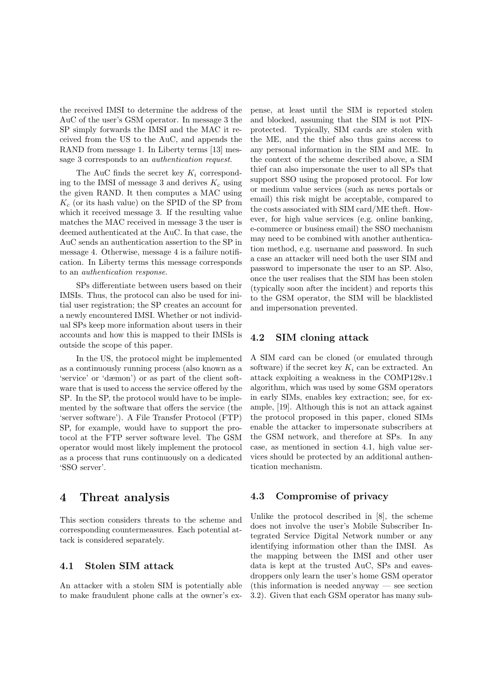the received IMSI to determine the address of the AuC of the user's GSM operator. In message 3 the SP simply forwards the IMSI and the MAC it received from the US to the AuC, and appends the RAND from message 1. In Liberty terms [13] message 3 corresponds to an authentication request.

The AuC finds the secret key  $K_i$  corresponding to the IMSI of message 3 and derives  $K_c$  using the given RAND. It then computes a MAC using  $K_c$  (or its hash value) on the SPID of the SP from which it received message 3. If the resulting value matches the MAC received in message 3 the user is deemed authenticated at the AuC. In that case, the AuC sends an authentication assertion to the SP in message 4. Otherwise, message 4 is a failure notification. In Liberty terms this message corresponds to an authentication response.

SPs differentiate between users based on their IMSIs. Thus, the protocol can also be used for initial user registration; the SP creates an account for a newly encountered IMSI. Whether or not individual SPs keep more information about users in their accounts and how this is mapped to their IMSIs is outside the scope of this paper.

In the US, the protocol might be implemented as a continuously running process (also known as a 'service' or 'dæmon') or as part of the client software that is used to access the service offered by the SP. In the SP, the protocol would have to be implemented by the software that offers the service (the 'server software'). A File Transfer Protocol (FTP) SP, for example, would have to support the protocol at the FTP server software level. The GSM operator would most likely implement the protocol as a process that runs continuously on a dedicated 'SSO server'.

## 4 Threat analysis

This section considers threats to the scheme and corresponding countermeasures. Each potential attack is considered separately.

### 4.1 Stolen SIM attack

An attacker with a stolen SIM is potentially able to make fraudulent phone calls at the owner's expense, at least until the SIM is reported stolen and blocked, assuming that the SIM is not PINprotected. Typically, SIM cards are stolen with the ME, and the thief also thus gains access to any personal information in the SIM and ME. In the context of the scheme described above, a SIM thief can also impersonate the user to all SPs that support SSO using the proposed protocol. For low or medium value services (such as news portals or email) this risk might be acceptable, compared to the costs associated with SIM card/ME theft. However, for high value services (e.g. online banking, e-commerce or business email) the SSO mechanism may need to be combined with another authentication method, e.g. username and password. In such a case an attacker will need both the user SIM and password to impersonate the user to an SP. Also, once the user realises that the SIM has been stolen (typically soon after the incident) and reports this to the GSM operator, the SIM will be blacklisted and impersonation prevented.

#### 4.2 SIM cloning attack

A SIM card can be cloned (or emulated through software) if the secret key  $K_i$  can be extracted. An attack exploiting a weakness in the COMP128v.1 algorithm, which was used by some GSM operators in early SIMs, enables key extraction; see, for example, [19]. Although this is not an attack against the protocol proposed in this paper, cloned SIMs enable the attacker to impersonate subscribers at the GSM network, and therefore at SPs. In any case, as mentioned in section 4.1, high value services should be protected by an additional authentication mechanism.

#### 4.3 Compromise of privacy

Unlike the protocol described in [8], the scheme does not involve the user's Mobile Subscriber Integrated Service Digital Network number or any identifying information other than the IMSI. As the mapping between the IMSI and other user data is kept at the trusted AuC, SPs and eavesdroppers only learn the user's home GSM operator (this information is needed anyway — see section 3.2). Given that each GSM operator has many sub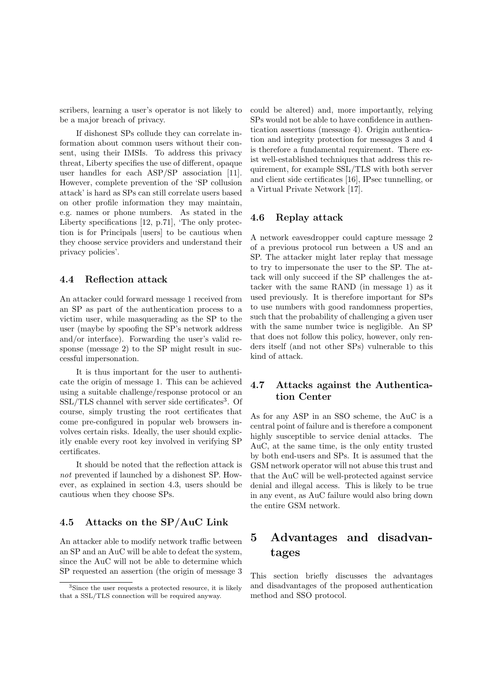scribers, learning a user's operator is not likely to be a major breach of privacy.

If dishonest SPs collude they can correlate information about common users without their consent, using their IMSIs. To address this privacy threat, Liberty specifies the use of different, opaque user handles for each ASP/SP association [11]. However, complete prevention of the 'SP collusion attack' is hard as SPs can still correlate users based on other profile information they may maintain, e.g. names or phone numbers. As stated in the Liberty specifications [12, p.71], 'The only protection is for Principals [users] to be cautious when they choose service providers and understand their privacy policies'.

#### 4.4 Reflection attack

An attacker could forward message 1 received from an SP as part of the authentication process to a victim user, while masquerading as the SP to the user (maybe by spoofing the SP's network address and/or interface). Forwarding the user's valid response (message 2) to the SP might result in successful impersonation.

It is thus important for the user to authenticate the origin of message 1. This can be achieved using a suitable challenge/response protocol or an SSL/TLS channel with server side certificates<sup>3</sup>. Of course, simply trusting the root certificates that come pre-configured in popular web browsers involves certain risks. Ideally, the user should explicitly enable every root key involved in verifying SP certificates.

It should be noted that the reflection attack is not prevented if launched by a dishonest SP. However, as explained in section 4.3, users should be cautious when they choose SPs.

### 4.5 Attacks on the SP/AuC Link

An attacker able to modify network traffic between an SP and an AuC will be able to defeat the system, since the AuC will not be able to determine which SP requested an assertion (the origin of message 3 could be altered) and, more importantly, relying SPs would not be able to have confidence in authentication assertions (message 4). Origin authentication and integrity protection for messages 3 and 4 is therefore a fundamental requirement. There exist well-established techniques that address this requirement, for example SSL/TLS with both server and client side certificates [16], IPsec tunnelling, or a Virtual Private Network [17].

#### 4.6 Replay attack

A network eavesdropper could capture message 2 of a previous protocol run between a US and an SP. The attacker might later replay that message to try to impersonate the user to the SP. The attack will only succeed if the SP challenges the attacker with the same RAND (in message 1) as it used previously. It is therefore important for SPs to use numbers with good randomness properties, such that the probability of challenging a given user with the same number twice is negligible. An SP that does not follow this policy, however, only renders itself (and not other SPs) vulnerable to this kind of attack.

### 4.7 Attacks against the Authentication Center

As for any ASP in an SSO scheme, the AuC is a central point of failure and is therefore a component highly susceptible to service denial attacks. The AuC, at the same time, is the only entity trusted by both end-users and SPs. It is assumed that the GSM network operator will not abuse this trust and that the AuC will be well-protected against service denial and illegal access. This is likely to be true in any event, as AuC failure would also bring down the entire GSM network.

# 5 Advantages and disadvantages

This section briefly discusses the advantages and disadvantages of the proposed authentication method and SSO protocol.

<sup>3</sup>Since the user requests a protected resource, it is likely that a SSL/TLS connection will be required anyway.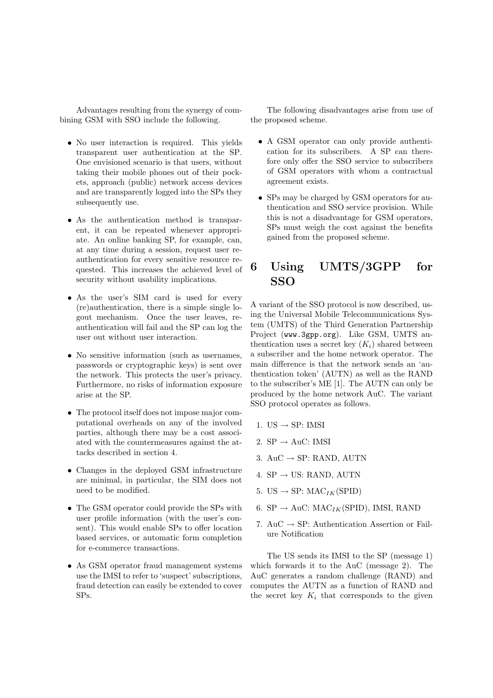Advantages resulting from the synergy of combining GSM with SSO include the following.

- No user interaction is required. This yields transparent user authentication at the SP. One envisioned scenario is that users, without taking their mobile phones out of their pockets, approach (public) network access devices and are transparently logged into the SPs they subsequently use.
- As the authentication method is transparent, it can be repeated whenever appropriate. An online banking SP, for example, can, at any time during a session, request user reauthentication for every sensitive resource requested. This increases the achieved level of security without usability implications.
- As the user's SIM card is used for every (re)authentication, there is a simple single logout mechanism. Once the user leaves, reauthentication will fail and the SP can log the user out without user interaction.
- No sensitive information (such as usernames, passwords or cryptographic keys) is sent over the network. This protects the user's privacy. Furthermore, no risks of information exposure arise at the SP.
- The protocol itself does not impose major computational overheads on any of the involved parties, although there may be a cost associated with the countermeasures against the attacks described in section 4.
- Changes in the deployed GSM infrastructure are minimal, in particular, the SIM does not need to be modified.
- The GSM operator could provide the SPs with user profile information (with the user's consent). This would enable SPs to offer location based services, or automatic form completion for e-commerce transactions.
- As GSM operator fraud management systems use the IMSI to refer to 'suspect' subscriptions, fraud detection can easily be extended to cover SPs.

The following disadvantages arise from use of the proposed scheme.

- A GSM operator can only provide authentication for its subscribers. A SP can therefore only offer the SSO service to subscribers of GSM operators with whom a contractual agreement exists.
- SPs may be charged by GSM operators for authentication and SSO service provision. While this is not a disadvantage for GSM operators, SPs must weigh the cost against the benefits gained from the proposed scheme.

# 6 Using UMTS/3GPP for SSO

A variant of the SSO protocol is now described, using the Universal Mobile Telecommunications System (UMTS) of the Third Generation Partnership Project (www.3gpp.org). Like GSM, UMTS authentication uses a secret key  $(K_i)$  shared between a subscriber and the home network operator. The main difference is that the network sends an 'authentication token' (AUTN) as well as the RAND to the subscriber's ME [1]. The AUTN can only be produced by the home network AuC. The variant SSO protocol operates as follows.

- 1. US  $\rightarrow$  SP: IMSI
- 2.  $SP \rightarrow A \text{uC: IMSI}$
- 3.  $AuC \rightarrow SP$ : RAND, AUTN
- 4.  $SP \rightarrow US: RAND, AUTN$
- 5. US  $\rightarrow$  SP: MAC<sub>IK</sub>(SPID)
- 6. SP  $\rightarrow$  AuC: MAC<sub>IK</sub>(SPID), IMSI, RAND
- 7. AuC  $\rightarrow$  SP: Authentication Assertion or Failure Notification

The US sends its IMSI to the SP (message 1) which forwards it to the AuC (message 2). The AuC generates a random challenge (RAND) and computes the AUTN as a function of RAND and the secret key  $K_i$  that corresponds to the given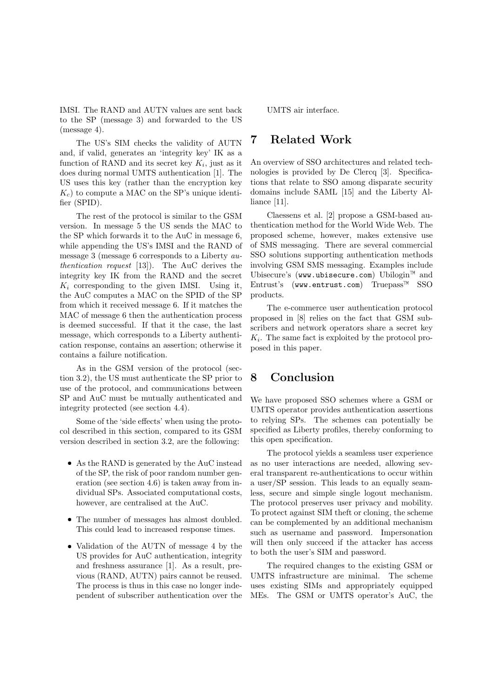IMSI. The RAND and AUTN values are sent back to the SP (message 3) and forwarded to the US (message 4).

The US's SIM checks the validity of AUTN and, if valid, generates an 'integrity key' IK as a function of RAND and its secret key  $K_i$ , just as it does during normal UMTS authentication [1]. The US uses this key (rather than the encryption key  $K_c$ ) to compute a MAC on the SP's unique identifier (SPID).

The rest of the protocol is similar to the GSM version. In message 5 the US sends the MAC to the SP which forwards it to the AuC in message 6, while appending the US's IMSI and the RAND of message 3 (message 6 corresponds to a Liberty authentication request [13]). The AuC derives the integrity key IK from the RAND and the secret  $K_i$  corresponding to the given IMSI. Using it, the AuC computes a MAC on the SPID of the SP from which it received message 6. If it matches the MAC of message 6 then the authentication process is deemed successful. If that it the case, the last message, which corresponds to a Liberty authentication response, contains an assertion; otherwise it contains a failure notification.

As in the GSM version of the protocol (section 3.2), the US must authenticate the SP prior to use of the protocol, and communications between SP and AuC must be mutually authenticated and integrity protected (see section 4.4).

Some of the 'side effects' when using the protocol described in this section, compared to its GSM version described in section 3.2, are the following:

- As the RAND is generated by the AuC instead of the SP, the risk of poor random number generation (see section 4.6) is taken away from individual SPs. Associated computational costs, however, are centralised at the AuC.
- The number of messages has almost doubled. This could lead to increased response times.
- Validation of the AUTN of message 4 by the US provides for AuC authentication, integrity and freshness assurance [1]. As a result, previous (RAND, AUTN) pairs cannot be reused. The process is thus in this case no longer independent of subscriber authentication over the

UMTS air interface.

## 7 Related Work

An overview of SSO architectures and related technologies is provided by De Clercq [3]. Specifications that relate to SSO among disparate security domains include SAML [15] and the Liberty Alliance [11].

Claessens et al. [2] propose a GSM-based authentication method for the World Wide Web. The proposed scheme, however, makes extensive use of SMS messaging. There are several commercial SSO solutions supporting authentication methods involving GSM SMS messaging. Examples include Ubisecure's (www.ubisecure.com) Ubilogin™ and Entrust's (www.entrust.com) Truepass SSO products.

The e-commerce user authentication protocol proposed in [8] relies on the fact that GSM subscribers and network operators share a secret key  $K_i$ . The same fact is exploited by the protocol proposed in this paper.

## 8 Conclusion

We have proposed SSO schemes where a GSM or UMTS operator provides authentication assertions to relying SPs. The schemes can potentially be specified as Liberty profiles, thereby conforming to this open specification.

The protocol yields a seamless user experience as no user interactions are needed, allowing several transparent re-authentications to occur within a user/SP session. This leads to an equally seamless, secure and simple single logout mechanism. The protocol preserves user privacy and mobility. To protect against SIM theft or cloning, the scheme can be complemented by an additional mechanism such as username and password. Impersonation will then only succeed if the attacker has access to both the user's SIM and password.

The required changes to the existing GSM or UMTS infrastructure are minimal. The scheme uses existing SIMs and appropriately equipped MEs. The GSM or UMTS operator's AuC, the